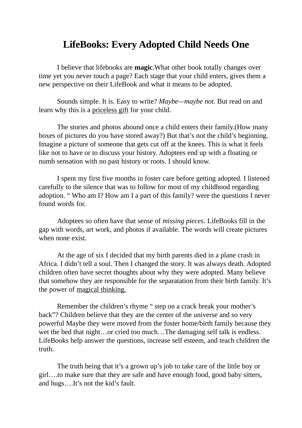## **LifeBooks: Every Adopted Child Needs One**

I believe that lifebooks are **magic**.What other book totally changes over time yet you never touch a page? Each stage that your child enters, gives them a new perspective on their LifeBook and what it means to be adopted.

Sounds simple. It is. Easy to write? *Maybe—maybe not*. But read on and learn why this is a priceless gift for your child.

The stories and photos abound once a child enters their family.(How many boxes of pictures do you have stored away?) But that's not the child's beginning. Imagine a picture of someone that gets cut off at the knees. This is what it feels like not to have or to discuss your history. Adoptees end up with a floating or numb sensation with no past history or roots. I should know.

I spent my first five months in foster care before getting adopted. I listened carefully to the silence that was to follow for most of my childhood regarding adoption. " Who am I? How am I a part of this family? were the questions I never found words for.

Adoptees so often have that sense of *missing pieces*. LifeBooks fill in the gap with words, art work, and photos if available. The words will create pictures when none exist.

At the age of six I decided that my birth parents died in a plane crash in Africa. I didn't tell a soul. Then I changed the story. It was always death. Adopted children often have secret thoughts about why they were adopted. Many believe that somehow they are responsible for the separatation from their birth family. It's the power of magical thinking.

Remember the children's rhyme " step on a crack break your mother's back"? Children believe that they are the center of the universe and so very powerful Maybe they were moved from the foster home/birth family because they wet the bed that night…or cried too much…The damaging self talk is endless. LifeBooks help answer the questions, increase self esteem, and teach children the truth.

The truth being that it's a grown up's job to take care of the little boy or girl….to make sure that they are safe and have enough food, good baby sitters, and hugs….It's not the kid's fault.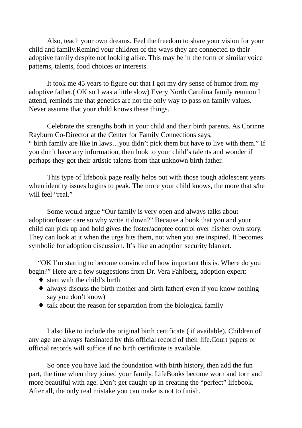Also, teach your own dreams. Feel the freedom to share your vision for your child and family.Remind your children of the ways they are connected to their adoptive family despite not looking alike. This may be in the form of similar voice patterns, talents, food choices or interests.

It took me 45 years to figure out that I got my dry sense of humor from my adoptive father.( OK so I was a little slow) Every North Carolina family reunion I attend, reminds me that genetics are not the only way to pass on family values. Never assume that your child knows these things.

Celebrate the strengths both in your child and their birth parents. As Corinne Rayburn Co-Director at the Center for Family Connections says, " birth family are like in laws…you didn't pick them but have to live with them." If you don't have any information, then look to your child's talents and wonder if perhaps they got their artistic talents from that unknown birth father.

This type of lifebook page really helps out with those tough adolescent years when identity issues begins to peak. The more your child knows, the more that s/he will feel "real."

Some would argue "Our family is very open and always talks about adoption/foster care so why write it down?" Because a book that you and your child can pick up and hold gives the foster/adoptee control over his/her own story. They can look at it when the urge hits them, not when you are inspired. It becomes symbolic for adoption discussion. It's like an adoption security blanket.

"OK I'm starting to become convinced of how important this is. Where do you begin?" Here are a few suggestions from Dr. Vera Fahlberg, adoption expert:

- ♦ start with the child's birth
- ♦ always discuss the birth mother and birth father( even if you know nothing say you don't know)
- ♦ talk about the reason for separation from the biological family

I also like to include the original birth certificate ( if available). Children of any age are always facsinated by this official record of their life.Court papers or official records will suffice if no birth certificate is available.

So once you have laid the foundation with birth history, then add the fun part, the time when they joined your family. LifeBooks become worn and torn and more beautiful with age. Don't get caught up in creating the "perfect" lifebook. After all, the only real mistake you can make is not to finish.